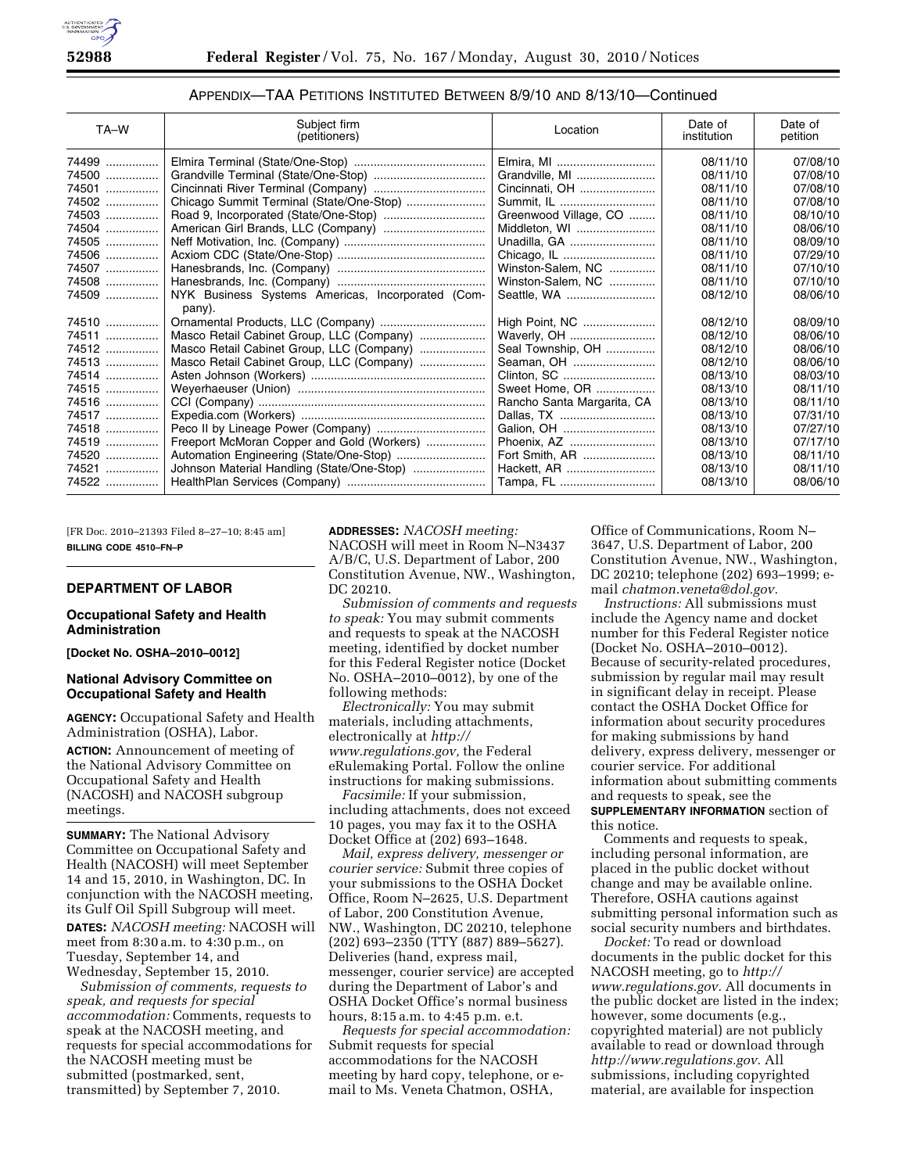

| TA-W  | Subject firm<br>(petitioners)                     | Location                   | Date of<br>institution | Date of<br>petition |
|-------|---------------------------------------------------|----------------------------|------------------------|---------------------|
| 74499 |                                                   | Elmira, MI                 | 08/11/10               | 07/08/10            |
| 74500 |                                                   | Grandville, MI             | 08/11/10               | 07/08/10            |
| 74501 |                                                   | Cincinnati, OH             | 08/11/10               | 07/08/10            |
| 74502 |                                                   | Summit, IL                 | 08/11/10               | 07/08/10            |
| 74503 |                                                   | Greenwood Village, CO      | 08/11/10               | 08/10/10            |
| 74504 | American Girl Brands, LLC (Company)               | Middleton, WI              | 08/11/10               | 08/06/10            |
| 74505 |                                                   | Unadilla, GA               | 08/11/10               | 08/09/10            |
| 74506 |                                                   |                            | 08/11/10               | 07/29/10            |
| 74507 |                                                   | Winston-Salem, NC          | 08/11/10               | 07/10/10            |
| 74508 |                                                   | Winston-Salem, NC          | 08/11/10               | 07/10/10            |
| 74509 | NYK Business Systems Americas, Incorporated (Com- |                            | 08/12/10               | 08/06/10            |
|       | pany).                                            |                            |                        |                     |
| 74510 | Ornamental Products, LLC (Company)                | High Point, NC             | 08/12/10               | 08/09/10            |
| 74511 | Masco Retail Cabinet Group, LLC (Company)         | Waverly, OH                | 08/12/10               | 08/06/10            |
| 74512 | Masco Retail Cabinet Group, LLC (Company)         | Seal Township, OH          | 08/12/10               | 08/06/10            |
| 74513 | Masco Retail Cabinet Group, LLC (Company)         | Seaman, OH                 | 08/12/10               | 08/06/10            |
| 74514 |                                                   | Clinton, SC                | 08/13/10               | 08/03/10            |
| 74515 |                                                   | Sweet Home, OR             | 08/13/10               | 08/11/10            |
| 74516 |                                                   | Rancho Santa Margarita, CA | 08/13/10               | 08/11/10            |
| 74517 |                                                   | Dallas, TX                 | 08/13/10               | 07/31/10            |
| 74518 |                                                   | Galion, OH                 | 08/13/10               | 07/27/10            |
| 74519 | Freeport McMoran Copper and Gold (Workers)        | Phoenix, AZ                | 08/13/10               | 07/17/10            |
| 74520 |                                                   | Fort Smith, AR             | 08/13/10               | 08/11/10            |
| 74521 | Johnson Material Handling (State/One-Stop)        | Hackett, AR                | 08/13/10               | 08/11/10            |
| 74522 |                                                   | Tampa, FL                  | 08/13/10               | 08/06/10            |

APPENDIX—TAA PETITIONS INSTITUTED BETWEEN 8/9/10 AND 8/13/10—Continued

[FR Doc. 2010–21393 Filed 8–27–10; 8:45 am] **BILLING CODE 4510–FN–P** 

### **DEPARTMENT OF LABOR**

### **Occupational Safety and Health Administration**

**[Docket No. OSHA–2010–0012]** 

### **National Advisory Committee on Occupational Safety and Health**

**AGENCY:** Occupational Safety and Health Administration (OSHA), Labor.

**ACTION:** Announcement of meeting of the National Advisory Committee on Occupational Safety and Health (NACOSH) and NACOSH subgroup meetings.

**SUMMARY:** The National Advisory Committee on Occupational Safety and Health (NACOSH) will meet September 14 and 15, 2010, in Washington, DC. In conjunction with the NACOSH meeting, its Gulf Oil Spill Subgroup will meet. **DATES:** *NACOSH meeting:* NACOSH will meet from 8:30 a.m. to 4:30 p.m., on Tuesday, September 14, and Wednesday, September 15, 2010.

*Submission of comments, requests to speak, and requests for special accommodation:* Comments, requests to speak at the NACOSH meeting, and requests for special accommodations for the NACOSH meeting must be submitted (postmarked, sent, transmitted) by September 7, 2010.

**ADDRESSES:** *NACOSH meeting:*  NACOSH will meet in Room N–N3437 A/B/C, U.S. Department of Labor, 200 Constitution Avenue, NW., Washington, DC 20210.

*Submission of comments and requests to speak:* You may submit comments and requests to speak at the NACOSH meeting, identified by docket number for this Federal Register notice (Docket No. OSHA–2010–0012), by one of the following methods:

*Electronically:* You may submit materials, including attachments, electronically at *[http://](http://www.regulations.gov) [www.regulations.gov,](http://www.regulations.gov)* the Federal eRulemaking Portal. Follow the online instructions for making submissions.

*Facsimile:* If your submission, including attachments, does not exceed 10 pages, you may fax it to the OSHA Docket Office at (202) 693–1648.

*Mail, express delivery, messenger or courier service:* Submit three copies of your submissions to the OSHA Docket Office, Room N–2625, U.S. Department of Labor, 200 Constitution Avenue, NW., Washington, DC 20210, telephone (202) 693–2350 (TTY (887) 889–5627). Deliveries (hand, express mail, messenger, courier service) are accepted during the Department of Labor's and OSHA Docket Office's normal business hours, 8:15 a.m. to 4:45 p.m. e.t.

*Requests for special accommodation:*  Submit requests for special accommodations for the NACOSH meeting by hard copy, telephone, or email to Ms. Veneta Chatmon, OSHA,

Office of Communications, Room N– 3647, U.S. Department of Labor, 200 Constitution Avenue, NW., Washington, DC 20210; telephone (202) 693–1999; email *[chatmon.veneta@dol.gov.](mailto:chatmon.veneta@dol.gov)* 

*Instructions:* All submissions must include the Agency name and docket number for this Federal Register notice (Docket No. OSHA–2010–0012). Because of security-related procedures, submission by regular mail may result in significant delay in receipt. Please contact the OSHA Docket Office for information about security procedures for making submissions by hand delivery, express delivery, messenger or courier service. For additional information about submitting comments and requests to speak, see the **SUPPLEMENTARY INFORMATION** section of this notice.

Comments and requests to speak, including personal information, are placed in the public docket without change and may be available online. Therefore, OSHA cautions against submitting personal information such as social security numbers and birthdates.

*Docket:* To read or download documents in the public docket for this NACOSH meeting, go to *[http://](http://www.regulations.gov)  [www.regulations.gov.](http://www.regulations.gov)* All documents in the public docket are listed in the index; however, some documents (e.g., copyrighted material) are not publicly available to read or download through *[http://www.regulations.gov.](http://www.regulations.gov)* All submissions, including copyrighted material, are available for inspection